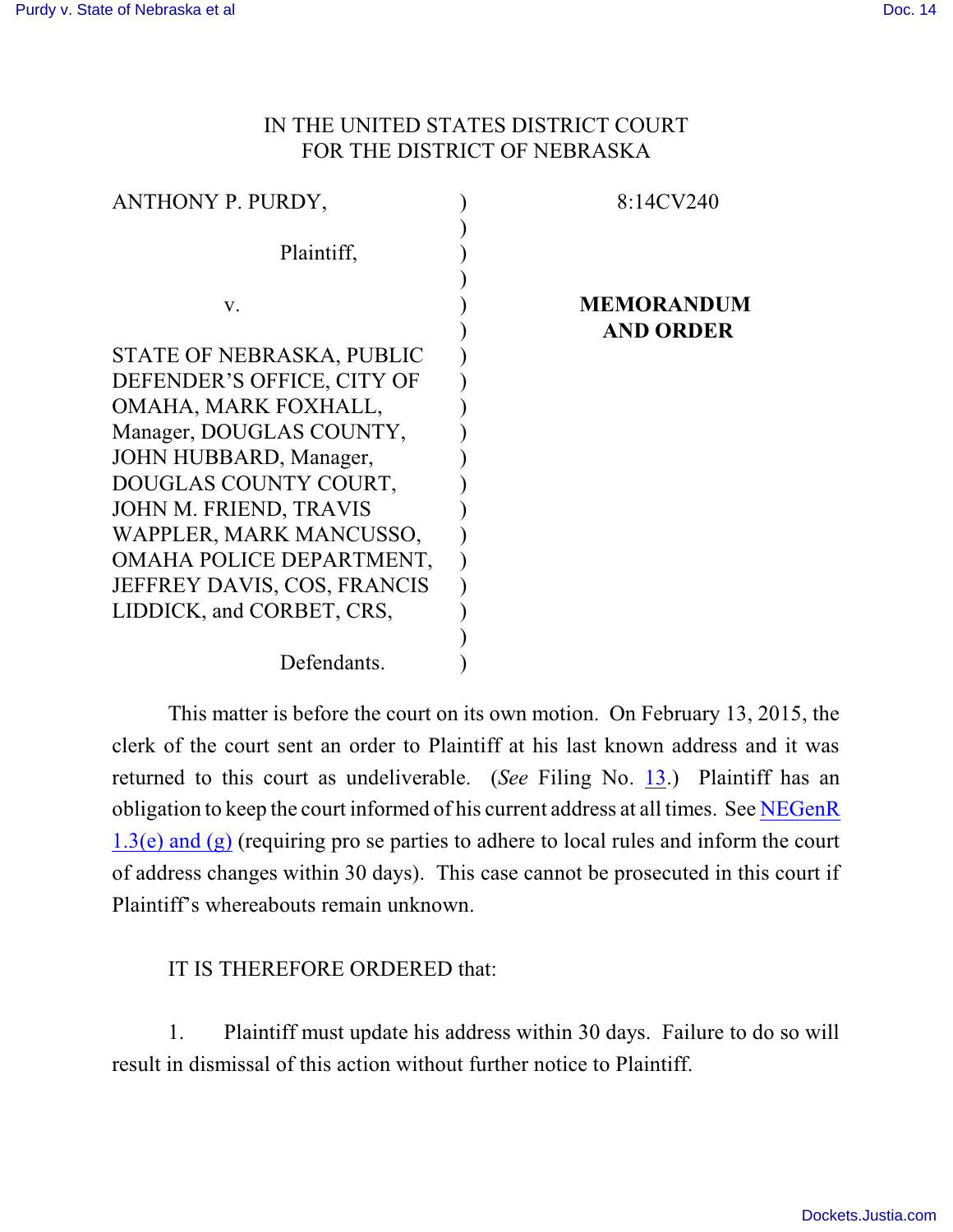## IN THE UNITED STATES DISTRICT COURT FOR THE DISTRICT OF NEBRASKA

| ANTHONY P. PURDY,           | 8:14CV240         |
|-----------------------------|-------------------|
|                             |                   |
| Plaintiff,                  |                   |
|                             |                   |
| V.                          | <b>MEMORANDUM</b> |
|                             | <b>AND ORDER</b>  |
| STATE OF NEBRASKA, PUBLIC   |                   |
| DEFENDER'S OFFICE, CITY OF  |                   |
| OMAHA, MARK FOXHALL,        |                   |
| Manager, DOUGLAS COUNTY,    |                   |
| JOHN HUBBARD, Manager,      |                   |
| DOUGLAS COUNTY COURT,       |                   |
| JOHN M. FRIEND, TRAVIS      |                   |
| WAPPLER, MARK MANCUSSO,     |                   |
| OMAHA POLICE DEPARTMENT,    |                   |
| JEFFREY DAVIS, COS, FRANCIS |                   |
| LIDDICK, and CORBET, CRS,   |                   |
|                             |                   |
| Defendants.                 |                   |

This matter is before the court on its own motion. On February 13, 2015, the clerk of the court sent an order to Plaintiff at his last known address and it was returned to this court as undeliverable. (*See* Filing No. [13](http://ecf.ned.uscourts.gov/doc1/11313216383).) Plaintiff has an obligation to keep the court informed of his current address at all times. See [NEGenR](http://www.ned.uscourts.gov/localrules/rules14/NEGenR/1.3.pdf) [1.3\(e\) and](http://www.ned.uscourts.gov/localrules/rules14/NEGenR/1.3.pdf) (g) (requiring pro se parties to adhere to local rules and inform the court of address changes within 30 days). This case cannot be prosecuted in this court if Plaintiff's whereabouts remain unknown.

## IT IS THEREFORE ORDERED that:

1. Plaintiff must update his address within 30 days. Failure to do so will result in dismissal of this action without further notice to Plaintiff.